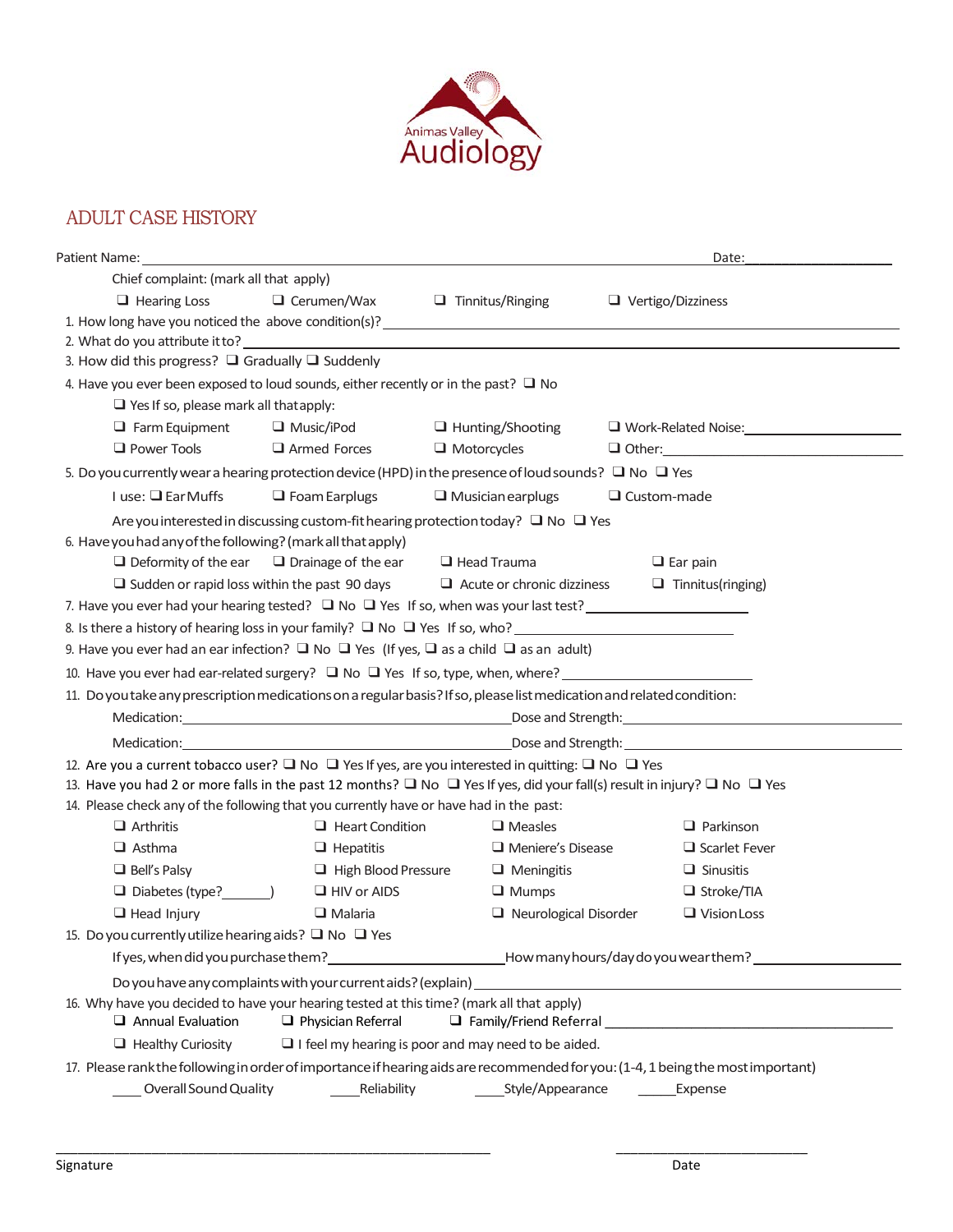

## ADULT CASE HISTORY

|                                                                                                                                                                                                                                |                                                        |                                                                                            | Date:                                                                                                                           |  |  |
|--------------------------------------------------------------------------------------------------------------------------------------------------------------------------------------------------------------------------------|--------------------------------------------------------|--------------------------------------------------------------------------------------------|---------------------------------------------------------------------------------------------------------------------------------|--|--|
| Chief complaint: (mark all that apply)                                                                                                                                                                                         |                                                        |                                                                                            |                                                                                                                                 |  |  |
| $\Box$ Hearing Loss                                                                                                                                                                                                            | $\Box$ Cerumen/Wax                                     | $\Box$ Tinnitus/Ringing                                                                    | $\Box$ Vertigo/Dizziness                                                                                                        |  |  |
| 1. How long have you noticed the above condition(s)? 1. The matrix of the state of the state of the state of the state of the state of the state of the state of the state of the state of the state of the state of the state |                                                        |                                                                                            |                                                                                                                                 |  |  |
|                                                                                                                                                                                                                                |                                                        |                                                                                            |                                                                                                                                 |  |  |
| 3. How did this progress? $\Box$ Gradually $\Box$ Suddenly                                                                                                                                                                     |                                                        |                                                                                            |                                                                                                                                 |  |  |
| 4. Have you ever been exposed to loud sounds, either recently or in the past? $\Box$ No                                                                                                                                        |                                                        |                                                                                            |                                                                                                                                 |  |  |
| $\Box$ Yes If so, please mark all that apply:                                                                                                                                                                                  |                                                        |                                                                                            |                                                                                                                                 |  |  |
| $\Box$ Farm Equipment                                                                                                                                                                                                          | $\Box$ Music/iPod                                      | $\Box$ Hunting/Shooting                                                                    | Work-Related Noise: 1999                                                                                                        |  |  |
| $\Box$ Power Tools                                                                                                                                                                                                             | Armed Forces                                           | $\Box$ Motorcycles                                                                         |                                                                                                                                 |  |  |
| 5. Do you currently wear a hearing protection device (HPD) in the presence of loud sounds? $\Box$ No $\Box$ Yes                                                                                                                |                                                        |                                                                                            |                                                                                                                                 |  |  |
| $I$ use: $\Box$ Ear Muffs                                                                                                                                                                                                      | $\Box$ Foam Earplugs                                   | $\Box$ Musician earplugs                                                                   | $\Box$ Custom-made                                                                                                              |  |  |
|                                                                                                                                                                                                                                |                                                        | Are you interested in discussing custom-fit hearing protection today? $\Box$ No $\Box$ Yes |                                                                                                                                 |  |  |
| 6. Have you had any of the following? (mark all that apply)                                                                                                                                                                    |                                                        |                                                                                            |                                                                                                                                 |  |  |
|                                                                                                                                                                                                                                | $\Box$ Deformity of the ear $\Box$ Drainage of the ear | $\Box$ Head Trauma                                                                         | $\Box$ Ear pain                                                                                                                 |  |  |
|                                                                                                                                                                                                                                | $\Box$ Sudden or rapid loss within the past 90 days    | $\Box$ Acute or chronic dizziness                                                          | $\Box$ Tinnitus(ringing)                                                                                                        |  |  |
| 7. Have you ever had your hearing tested? $\Box$ No $\Box$ Yes If so, when was your last test?                                                                                                                                 |                                                        |                                                                                            |                                                                                                                                 |  |  |
| 8. Is there a history of hearing loss in your family? $\Box$ No $\Box$ Yes If so, who?                                                                                                                                         |                                                        |                                                                                            |                                                                                                                                 |  |  |
| 9. Have you ever had an ear infection? $\Box$ No $\Box$ Yes (If yes, $\Box$ as a child $\Box$ as an adult)                                                                                                                     |                                                        |                                                                                            |                                                                                                                                 |  |  |
| 10. Have you ever had ear-related surgery? $\Box$ No $\Box$ Yes If so, type, when, where?                                                                                                                                      |                                                        |                                                                                            |                                                                                                                                 |  |  |
| 11. Do you take any prescription medications on a regular basis? If so, please list medication and related condition:                                                                                                          |                                                        |                                                                                            |                                                                                                                                 |  |  |
|                                                                                                                                                                                                                                |                                                        |                                                                                            |                                                                                                                                 |  |  |
| Medication: New York 2012 19:00 Dose and Strength: New York 2013 19:00 AM 2014 19:00 Dose and Strength:                                                                                                                        |                                                        |                                                                                            |                                                                                                                                 |  |  |
| 12. Are you a current tobacco user? $\Box$ No $\Box$ Yes If yes, are you interested in quitting: $\Box$ No $\Box$ Yes                                                                                                          |                                                        |                                                                                            |                                                                                                                                 |  |  |
| 13. Have you had 2 or more falls in the past 12 months? $\Box$ No $\Box$ Yes If yes, did your fall(s) result in injury? $\Box$ No $\Box$ Yes                                                                                   |                                                        |                                                                                            |                                                                                                                                 |  |  |
| 14. Please check any of the following that you currently have or have had in the past:                                                                                                                                         |                                                        |                                                                                            |                                                                                                                                 |  |  |
| $\Box$ Arthritis                                                                                                                                                                                                               | $\Box$ Heart Condition                                 | $\Box$ Measles                                                                             | $\Box$ Parkinson                                                                                                                |  |  |
| $\Box$ Asthma                                                                                                                                                                                                                  | $\Box$ Hepatitis                                       | Meniere's Disease                                                                          | $\Box$ Scarlet Fever                                                                                                            |  |  |
| $\Box$ Bell's Palsy                                                                                                                                                                                                            | High Blood Pressure                                    | $\Box$ Meningitis                                                                          | $\Box$ Sinusitis                                                                                                                |  |  |
| $\Box$ Diabetes (type? $\Box$ )                                                                                                                                                                                                | $\Box$ HIV or AIDS                                     | $\Box$ Mumps                                                                               | $\Box$ Stroke/TIA                                                                                                               |  |  |
| $\Box$ Head Injury                                                                                                                                                                                                             | $\Box$ Malaria                                         | $\Box$ Neurological Disorder                                                               | $\Box$ Vision Loss                                                                                                              |  |  |
| 15. Do you currently utilize hearing aids? $\Box$ No $\Box$ Yes                                                                                                                                                                |                                                        |                                                                                            |                                                                                                                                 |  |  |
| If yes, when did you purchase them?                                                                                                                                                                                            |                                                        |                                                                                            | How many hours/day do you wear them?                                                                                            |  |  |
|                                                                                                                                                                                                                                |                                                        |                                                                                            |                                                                                                                                 |  |  |
| 16. Why have you decided to have your hearing tested at this time? (mark all that apply)<br>$\Box$ Annual Evaluation                                                                                                           | $\Box$ Physician Referral                              |                                                                                            |                                                                                                                                 |  |  |
| $\Box$ Healthy Curiosity                                                                                                                                                                                                       |                                                        | $\Box$ I feel my hearing is poor and may need to be aided.                                 |                                                                                                                                 |  |  |
|                                                                                                                                                                                                                                |                                                        |                                                                                            | 17. Please rank the following in order of importance if hearing aids are recommended for you: (1-4, 1 being the most important) |  |  |
| Overall Sound Quality                                                                                                                                                                                                          | Reliability                                            | Style/Appearance                                                                           | Expense                                                                                                                         |  |  |

\_\_\_\_\_\_\_\_\_\_\_\_\_\_\_\_\_\_\_\_\_\_\_\_\_\_\_\_\_\_\_\_\_\_\_\_\_\_\_\_\_\_\_\_\_\_\_\_\_\_\_\_\_\_\_\_\_\_\_ \_\_\_\_\_\_\_\_\_\_\_\_\_\_\_\_\_\_\_\_\_\_\_\_\_\_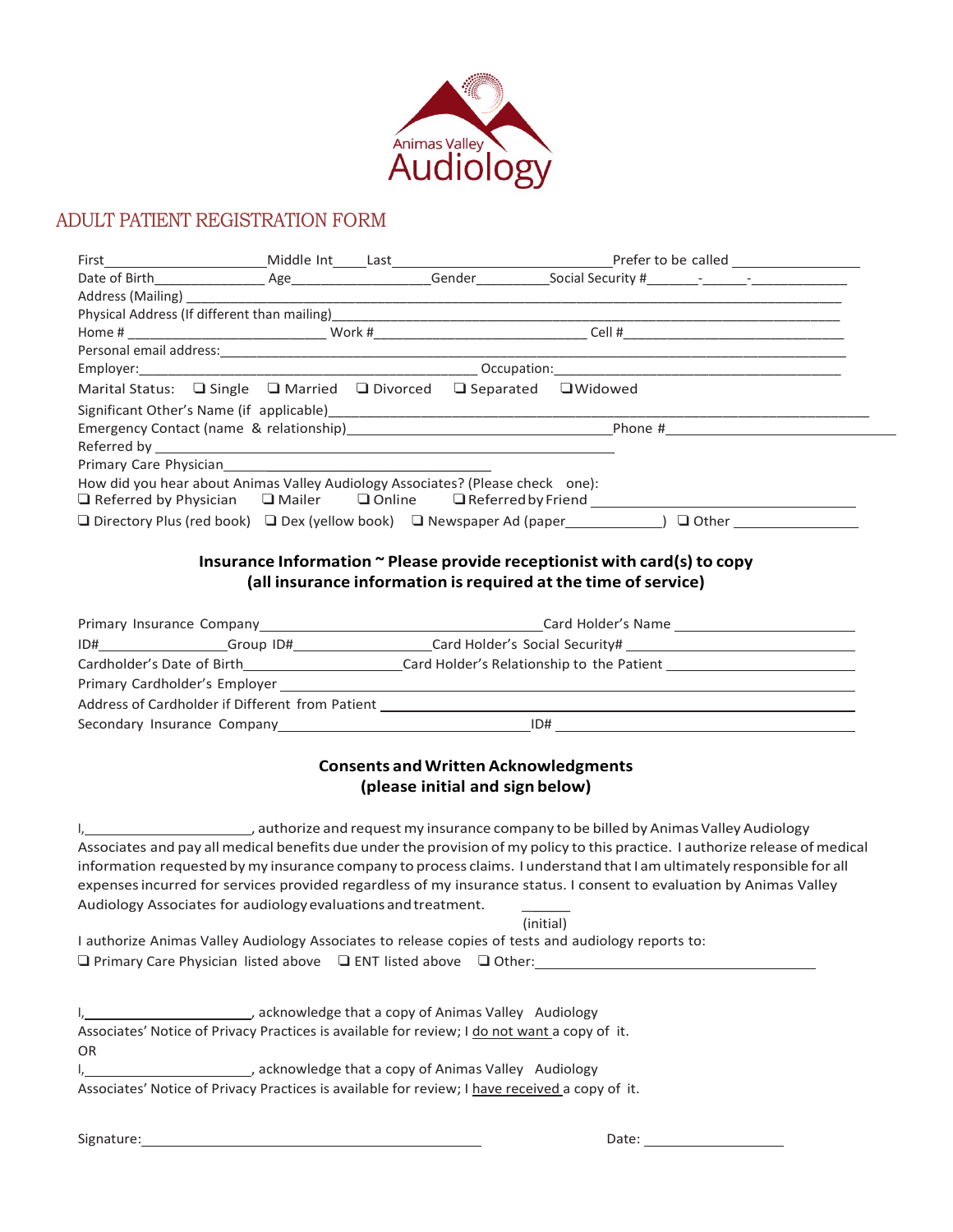

## ADULT PATIENT REGISTRATION FORM

| Marital Status: $\Box$ Single $\Box$ Married $\Box$ Divorced $\Box$ Separated $\Box$ Widowed                                       |  |                                                                |           |                                                                                                                                                                                                                                |
|------------------------------------------------------------------------------------------------------------------------------------|--|----------------------------------------------------------------|-----------|--------------------------------------------------------------------------------------------------------------------------------------------------------------------------------------------------------------------------------|
|                                                                                                                                    |  |                                                                |           |                                                                                                                                                                                                                                |
|                                                                                                                                    |  |                                                                |           |                                                                                                                                                                                                                                |
|                                                                                                                                    |  |                                                                |           |                                                                                                                                                                                                                                |
| Primary Care Physician Management Care Physician<br>How did you hear about Animas Valley Audiology Associates? (Please check one): |  |                                                                |           |                                                                                                                                                                                                                                |
|                                                                                                                                    |  |                                                                |           |                                                                                                                                                                                                                                |
|                                                                                                                                    |  |                                                                |           |                                                                                                                                                                                                                                |
|                                                                                                                                    |  |                                                                |           |                                                                                                                                                                                                                                |
|                                                                                                                                    |  |                                                                |           | Insurance Information ~ Please provide receptionist with card(s) to copy                                                                                                                                                       |
|                                                                                                                                    |  | (all insurance information is required at the time of service) |           |                                                                                                                                                                                                                                |
|                                                                                                                                    |  |                                                                |           |                                                                                                                                                                                                                                |
|                                                                                                                                    |  |                                                                |           |                                                                                                                                                                                                                                |
|                                                                                                                                    |  |                                                                |           | ID#_________________Group ID#___________________Card Holder's Social Security# _______________________________                                                                                                                 |
|                                                                                                                                    |  |                                                                |           |                                                                                                                                                                                                                                |
|                                                                                                                                    |  |                                                                |           | <u> 1989 - Johann Stoff, deutscher Stoff, der Stoff, der Stoff, der Stoff, der Stoff, der Stoff, der Stoff, der S</u>                                                                                                          |
|                                                                                                                                    |  |                                                                |           | Address of Cardholder if Different from Patient [1920] [2012] [2012] [2012] [2012] [2012] [2012] [2012] [2012] [2012] [2012] [2012] [2012] [2012] [2012] [2012] [2012] [2012] [2012] [2012] [2012] [2012] [2012] [2012] [2012] |
|                                                                                                                                    |  |                                                                |           |                                                                                                                                                                                                                                |
|                                                                                                                                    |  | <b>Consents and Written Acknowledgments</b>                    |           |                                                                                                                                                                                                                                |
|                                                                                                                                    |  |                                                                |           |                                                                                                                                                                                                                                |
|                                                                                                                                    |  | (please initial and sign below)                                |           |                                                                                                                                                                                                                                |
|                                                                                                                                    |  |                                                                |           | authorize and request my insurance company to be billed by Animas Valley Audiology                                                                                                                                             |
|                                                                                                                                    |  |                                                                |           | Associates and pay all medical benefits due under the provision of my policy to this practice. I authorize release of medical                                                                                                  |
|                                                                                                                                    |  |                                                                |           | information requested by my insurance company to process claims. I understand that I am ultimately responsible for all                                                                                                         |
|                                                                                                                                    |  |                                                                |           | expenses incurred for services provided regardless of my insurance status. I consent to evaluation by Animas Valley                                                                                                            |
| Audiology Associates for audiology evaluations and treatment.                                                                      |  |                                                                |           |                                                                                                                                                                                                                                |
|                                                                                                                                    |  |                                                                | (initial) |                                                                                                                                                                                                                                |
| I authorize Animas Valley Audiology Associates to release copies of tests and audiology reports to:                                |  |                                                                |           |                                                                                                                                                                                                                                |
| $\Box$ Primary Care Physician listed above $\Box$ ENT listed above $\Box$ Other:                                                   |  |                                                                |           |                                                                                                                                                                                                                                |
|                                                                                                                                    |  |                                                                |           |                                                                                                                                                                                                                                |
|                                                                                                                                    |  |                                                                |           |                                                                                                                                                                                                                                |
| acknowledge that a copy of Animas Valley Audiology (and a copy of Animas Valley Audiology                                          |  |                                                                |           |                                                                                                                                                                                                                                |
| Associates' Notice of Privacy Practices is available for review; I do not want a copy of it.                                       |  |                                                                |           |                                                                                                                                                                                                                                |
| OR                                                                                                                                 |  |                                                                |           |                                                                                                                                                                                                                                |
| I, 1, 2008 and 2009 acknowledge that a copy of Animas Valley Audiology                                                             |  |                                                                |           |                                                                                                                                                                                                                                |
| Associates' Notice of Privacy Practices is available for review; I have received a copy of it.                                     |  |                                                                |           |                                                                                                                                                                                                                                |

Signature: 2008 Contract Contract Contract Contract Contract Contract Contract Contract Contract Contract Contract Contract Contract Contract Contract Contract Contract Contract Contract Contract Contract Contract Contract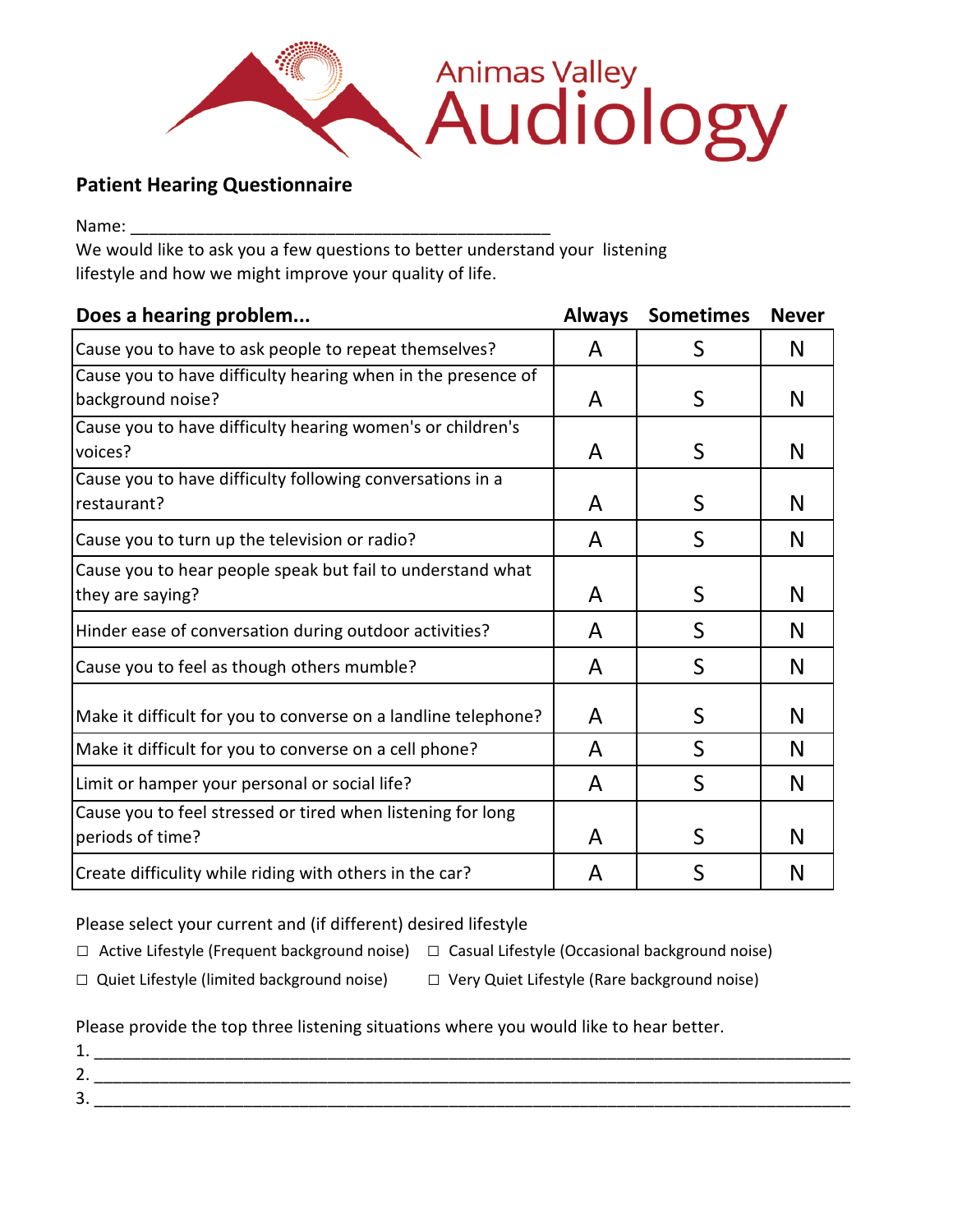

## **Patient Hearing Questionnaire**

Name:

We would like to ask you a few questions to better understand your listening lifestyle and how we might improve your quality of life.

| Does a hearing problem                                         | <b>Always</b> | <b>Sometimes</b> | <b>Never</b> |
|----------------------------------------------------------------|---------------|------------------|--------------|
| Cause you to have to ask people to repeat themselves?          | A             | S                | N            |
| Cause you to have difficulty hearing when in the presence of   |               |                  |              |
| background noise?                                              | A             | S                | N            |
| Cause you to have difficulty hearing women's or children's     |               |                  |              |
| voices?                                                        | A             | S                | N            |
| Cause you to have difficulty following conversations in a      |               |                  |              |
| restaurant?                                                    | A             | S                | N            |
| Cause you to turn up the television or radio?                  | A             | S                | N            |
| Cause you to hear people speak but fail to understand what     |               |                  |              |
| they are saying?                                               | A             | S                | N            |
| Hinder ease of conversation during outdoor activities?         | A             | S                | N            |
| Cause you to feel as though others mumble?                     | A             | S                | N            |
| Make it difficult for you to converse on a landline telephone? | A             | S                | N            |
| Make it difficult for you to converse on a cell phone?         | A             | $\mathsf{S}$     | N            |
| Limit or hamper your personal or social life?                  | A             | S                | N            |
| Cause you to feel stressed or tired when listening for long    |               |                  |              |
| periods of time?                                               | A             | S                | N            |
| Create difficulity while riding with others in the car?        | A             | S                | N            |

Please select your current and (if different) desired lifestyle

□ Active Lifestyle (Frequent background noise) □ Casual Lifestyle (Occasional background noise)

- □ Quiet Lifestyle (limited background noise) □ Very Quiet Lifestyle (Rare background noise)
- 

Please provide the top three listening situations where you would like to hear better.

| .                                  |  |
|------------------------------------|--|
| ∽<br>. .                           |  |
| ⌒<br>$\overline{\phantom{a}}$<br>ັ |  |